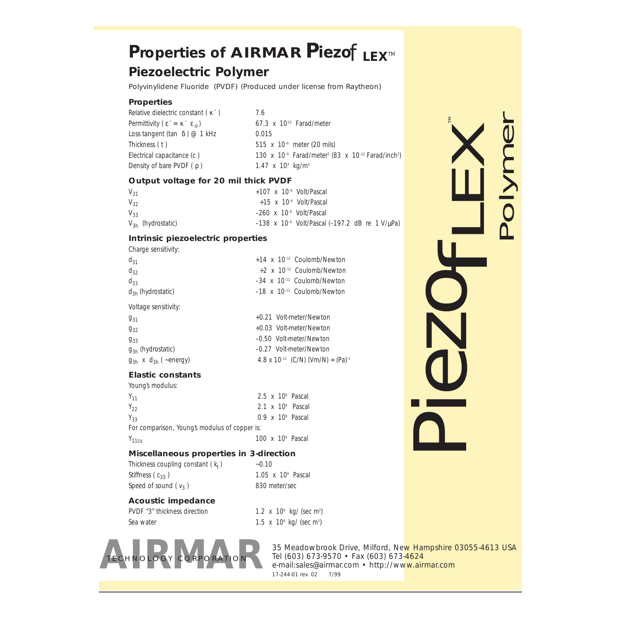# *Properties of AIRMAR Piezof LEXTM*

### *Piezoelectric Polymer*

*Polyvinylidene Fluoride (PVDF) (Produced under license from Raytheon)*

#### *Properties*

*Relative dielectric constant (* κ ′ *) 7.6 Permittivity*  $(\epsilon' = \kappa' \epsilon_0)$  67.3 x 10<sup>-12</sup> *Farad/meter Loss tangent (tan δ)* @ 1 kHz 0.015 *Thickness ( t ) 515 x 10–6 meter (20 mils) Density of bare PVDF (* ρ *) 1.47 x 103 kg/m3*

*Electrical capacitance (c ) 130 x 10–9 Farad/meter2 (83 x 10–12 Farad/inch2 )*

#### *Output voltage for 20 mil thick PVDF*

*V31 +107 x 10–6 Volt/Pascal V32 +15 x 10–6 Volt/Pascal V33 –260 x 10–6 Volt/Pascal V3h (hydrostatic) –138 x 10–6 Volt/Pascal (–197.2 dB re 1 V/*µ*Pa)*

#### *Intrinsic piezoelectric properties*

*Charge sensitivity:*

| $d_{31}$                       | $+14$ x $10^{-12}$ Coulomb/Newton                         |
|--------------------------------|-----------------------------------------------------------|
| $d_{32}$                       | +2 x 10-12 Coulomb/Newton                                 |
| $d_{33}$                       | $-34 \times 10^{-12}$ Coulomb/Newton                      |
| $d_{3h}$ (hydrostatic)         | $-18 \times 10^{-12}$ Coulomb/Newton                      |
| Voltage sensitivity:           |                                                           |
| $9_{31}$                       | +0.21 Volt-meter/Newton                                   |
| $9_{32}$                       | +0.03 Volt-meter/Newton                                   |
| $9_{33}$                       | -0.50 Volt-meter/Newton                                   |
| $g_{3h}$ (hydrostatic)         | -0.27 Volt-meter/Newton                                   |
| $g_{3h}$ x $d_{3h}$ ( ~energy) | 4.8 x 10 <sup>-12</sup> (C/N) (Vm/N) = (Pa) <sup>-1</sup> |

### *Elastic constants*

| Young's modulus:                              |  |                                  |  |
|-----------------------------------------------|--|----------------------------------|--|
| $Y_{11}$                                      |  | $2.5 \times 10^9$ Pascal         |  |
| $Y_{22}$                                      |  | $2.1 \times 10^9$ Pascal         |  |
| $Y_{33}$                                      |  | $0.9 \times 10^9$ Pascal         |  |
| For comparison, Young's modulus of copper is: |  |                                  |  |
| $Y_{11cu}$                                    |  | 100 $\times$ 10 $\degree$ Pascal |  |

#### *Miscellaneous properties in 3-direction*

Thickness coupling constant  $(k_t)$   $~-0.10$ *Stiffness ( c33 ) 1.05 x 109 Pascal Speed of sound ( v3 ) 830 meter/sec*

#### *Acoustic impedance*

*PVDF "3" thickness direction 1.2 x 106 kg/ (sec m2 ) Sea water 1.5 x 106 kg/ (sec m2 )*



*35 Meadowbrook Drive, Milford, New Hampshire 03055-4613 USA Tel (603) 673-9570 • Fax (603) 673-4624 e-mail:sales@airmar.com • http://www.airmar.com 17-244-01 rev. 02 7/99*

*PiezofLEX ™*

*Polymer*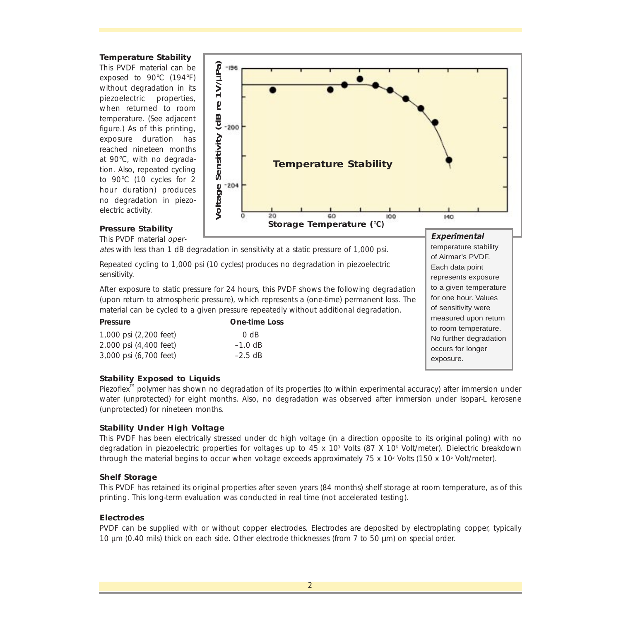#### *Temperature Stability*

*This PVDF material can be exposed to 90*°*C (194*°*F) without degradation in its piezoelectric properties, when returned to room temperature. (See adjacent figure.) As of this printing, exposure duration has reached nineteen months at 90*°*C, with no degradation. Also, repeated cycling to 90*°*C (10 cycles for 2 hour duration) produces no degradation in piezoelectric activity.*



#### *Pressure Stability*

*This PVDF material oper-*

*ates with less than 1 dB degradation in sensitivity at a static pressure of 1,000 psi.*

*Repeated cycling to 1,000 psi (10 cycles) produces no degradation in piezoelectric sensitivity.*

*After exposure to static pressure for 24 hours, this PVDF shows the following degradation (upon return to atmospheric pressure), which represents a (one-time) permanent loss. The material can be cycled to a given pressure repeatedly without additional degradation.*

| <b>Pressure</b>        | <b>One-time Loss</b> |
|------------------------|----------------------|
| 1,000 psi (2,200 feet) | 0 dB                 |
| 2,000 psi (4,400 feet) | $-1.0$ dB            |
| 3,000 psi (6,700 feet) | $-2.5$ dB            |

temperature stability of Airmar's PVDF. Each data point represents exposure to a given temperature for one hour. Values of sensitivity were measured upon return to room temperature. No further degradation occurs for longer exposure.

#### *Stability Exposed to Liquids*

*Piezoflex<sup>™</sup> polymer has shown no degradation of its properties (to within experimental accuracy) after immersion under water (unprotected) for eight months. Also, no degradation was observed after immersion under Isopar-L kerosene (unprotected) for nineteen months.*

#### *Stability Under High Voltage*

*This PVDF has been electrically stressed under dc high voltage (in a direction opposite to its original poling) with no degradation in piezoelectric properties for voltages up to 45 x 103 Volts (87 X 106 Volt/meter). Dielectric breakdown through the material begins to occur when voltage exceeds approximately 75 x 103 Volts (150 x 106 Volt/meter).* 

#### *Shelf Storage*

*This PVDF has retained its original properties after seven years (84 months) shelf storage at room temperature, as of this printing. This long-term evaluation was conducted in real time (not accelerated testing).* 

#### *Electrodes*

*PVDF can be supplied with or without copper electrodes. Electrodes are deposited by electroplating copper, typically 10 µm (0.40 mils) thick on each side. Other electrode thicknesses (from 7 to 50 µm) on special order.*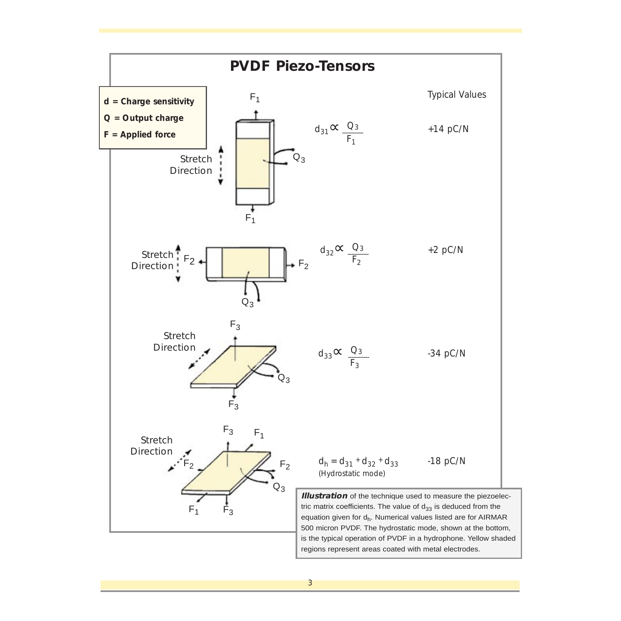

*3*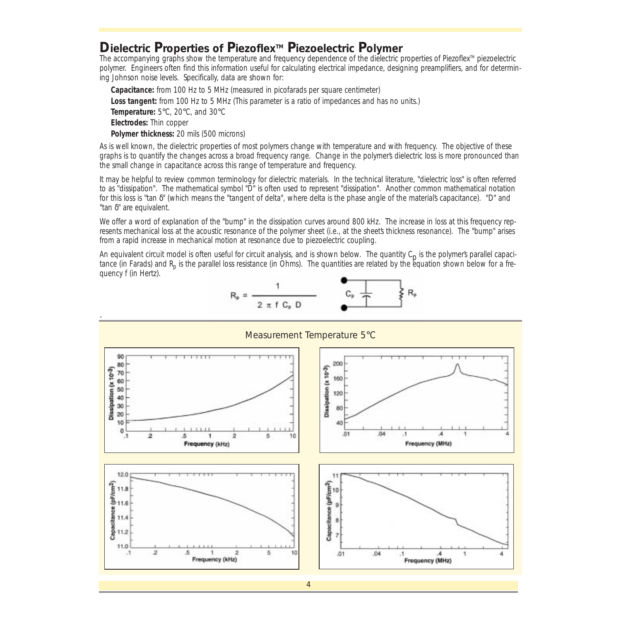### *Dielectric Properties of PiezoflexTM Piezoelectric Polymer*

*The accompanying graphs show the temperature and frequency dependence of the dielectric properties of PiezoflexTM piezoelectric polymer. Engineers often find this information useful for calculating electrical impedance, designing preamplifiers, and for determining Johnson noise levels. Specifically, data are shown for:*

*Capacitance: from 100 Hz to 5 MHz (measured in picofarads per square centimeter) Loss tangent: from 100 Hz to 5 MHz (This parameter is a ratio of impedances and has no units.) Temperature: 5*°*C, 20*°*C, and 30*°*C Electrodes: Thin copper Polymer thickness: 20 mils (500 microns)*

*As is well known, the dielectric properties of most polymers change with temperature and with frequency. The objective of these graphs is to quantify the changes across a broad frequency range. Change in the polymer's dielectric loss is more pronounced than the small change in capacitance across this range of temperature and frequency.*

*It may be helpful to review common terminology for dielectric materials. In the technical literature, "dielectric loss" is often referred to as "dissipation". The mathematical symbol "D" is often used to represent "dissipation". Another common mathematical notation for this loss is "tan* δ*" (which means the "tangent of delta", where delta is the phase angle of the material's capacitance). "D" and "tan* δ*" are equivalent.*

*We offer a word of explanation of the "bump" in the dissipation curves around 800 kHz. The increase in loss at this frequency represents mechanical loss at the acoustic resonance of the polymer sheet (i.e., at the sheet's thickness resonance). The "bump" arises from a rapid increase in mechanical motion at resonance due to piezoelectric coupling.*

An equivalent circuit model is often useful for circuit analysis, and is shown below. The quantity C<sub>p</sub> is the polymers parallel capacitance (in Farads) and R<sub>p</sub> is the parallel loss resistance (in Ohms). The quantities are related by the equation shown below for a fre*quency f (in Hertz).*

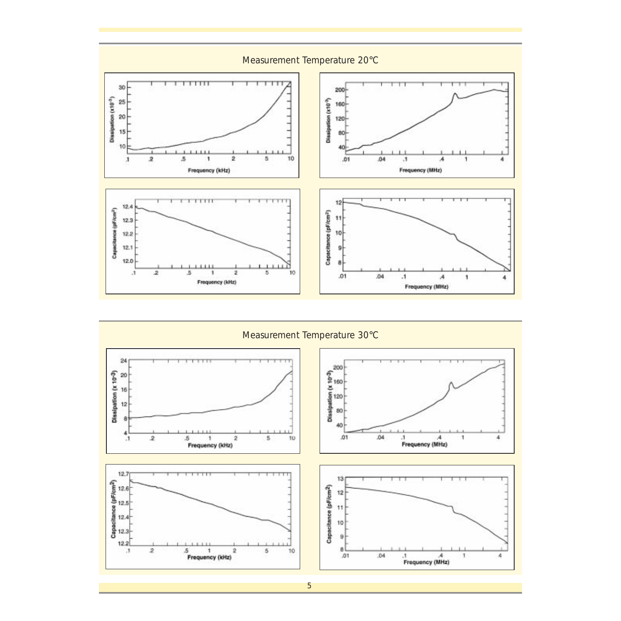

*Measurement Temperature 30*°*C*

![](_page_4_Figure_2.jpeg)